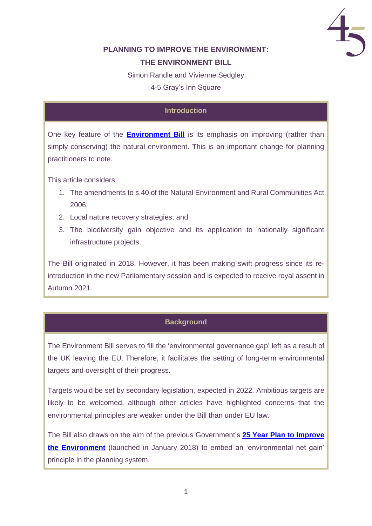

# **PLANNING TO IMPROVE THE ENVIRONMENT: THE ENVIRONMENT BILL**

Simon Randle and Vivienne Sedgley

4-5 Gray's Inn Square

## **Introduction**

One key feature of the **[Environment Bill](https://bills.parliament.uk/bills/2593)** is its emphasis on improving (rather than simply conserving) the natural environment. This is an important change for planning practitioners to note.

This article considers:

- 1. The amendments to s.40 of the Natural Environment and Rural Communities Act 2006;
- 2. Local nature recovery strategies; and
- 3. The biodiversity gain objective and its application to nationally significant infrastructure projects.

The Bill originated in 2018. However, it has been making swift progress since its reintroduction in the new Parliamentary session and is expected to receive royal assent in Autumn 2021.

## **Background**

The Environment Bill serves to fill the 'environmental governance gap' left as a result of the UK leaving the EU. Therefore, it facilitates the setting of long-term environmental targets and oversight of their progress.

Targets would be set by secondary legislation, expected in 2022. Ambitious targets are likely to be welcomed, although other articles have highlighted concerns that the environmental principles are weaker under the Bill than under EU law.

The Bill also draws on the aim of the previous Government's **25 Year [Plan to Improve](https://assets.publishing.service.gov.uk/government/uploads/system/uploads/attachment_data/file/693158/25-year-environment-plan.pdf)  the [Environment](https://assets.publishing.service.gov.uk/government/uploads/system/uploads/attachment_data/file/693158/25-year-environment-plan.pdf)** (launched in January 2018) to embed an 'environmental net gain' principle in the planning system.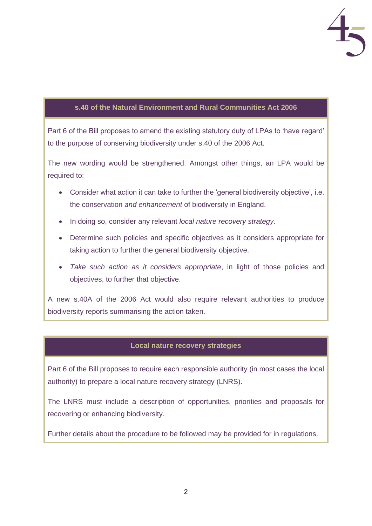

#### **s.40 of the Natural Environment and Rural Communities Act 2006**

Part 6 of the Bill proposes to amend the existing statutory duty of LPAs to 'have regard' to the purpose of conserving biodiversity under s.40 of the 2006 Act.

The new wording would be strengthened. Amongst other things, an LPA would be required to:

- Consider what action it can take to further the 'general biodiversity objective', i.e. the conservation *and enhancement* of biodiversity in England.
- In doing so, consider any relevant *local nature recovery strategy*.
- Determine such policies and specific objectives as it considers appropriate for taking action to further the general biodiversity objective.
- *Take such action as it considers appropriate*, in light of those policies and objectives, to further that objective.

A new s.40A of the 2006 Act would also require relevant authorities to produce biodiversity reports summarising the action taken.

#### **Local nature recovery strategies**

Part 6 of the Bill proposes to require each responsible authority (in most cases the local authority) to prepare a local nature recovery strategy (LNRS).

The LNRS must include a description of opportunities, priorities and proposals for recovering or enhancing biodiversity.

Further details about the procedure to be followed may be provided for in regulations.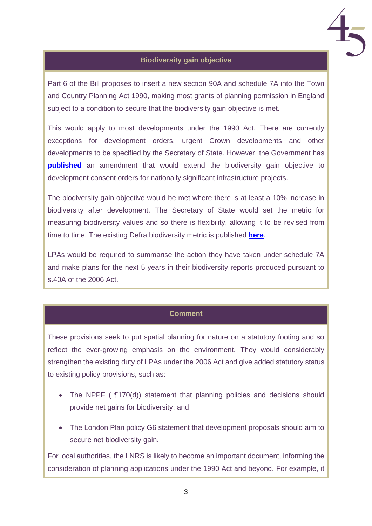

#### **Biodiversity gain objective**

Part 6 of the Bill proposes to insert a new section 90A and schedule 7A into the Town and Country Planning Act 1990, making most grants of planning permission in England subject to a condition to secure that the biodiversity gain objective is met.

This would apply to most developments under the 1990 Act. There are currently exceptions for development orders, urgent Crown developments and other developments to be specified by the Secretary of State. However, the Government has **[published](https://bills.parliament.uk/publications/41943/documents/423)** an amendment that would extend the biodiversity gain objective to development consent orders for nationally significant infrastructure projects.

The biodiversity gain objective would be met where there is at least a 10% increase in biodiversity after development. The Secretary of State would set the metric for measuring biodiversity values and so there is flexibility, allowing it to be revised from time to time. The existing Defra biodiversity metric is published **[here](http://publications.naturalengland.org.uk/publication/6020204538888192)**.

LPAs would be required to summarise the action they have taken under schedule 7A and make plans for the next 5 years in their biodiversity reports produced pursuant to s.40A of the 2006 Act.

## **Comment**

These provisions seek to put spatial planning for nature on a statutory footing and so reflect the ever-growing emphasis on the environment. They would considerably strengthen the existing duty of LPAs under the 2006 Act and give added statutory status to existing policy provisions, such as:

- The NPPF (  $\Pi$  70(d)) statement that planning policies and decisions should provide net gains for biodiversity; and
- The London Plan policy G6 statement that development proposals should aim to secure net biodiversity gain.

For local authorities, the LNRS is likely to become an important document, informing the consideration of planning applications under the 1990 Act and beyond. For example, it